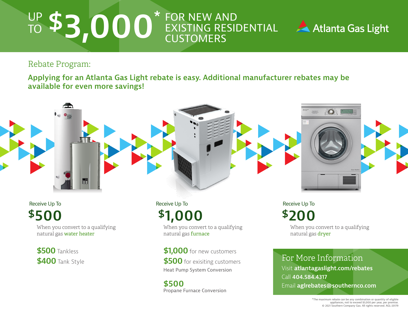## UP TO FOR NEW AND EXISTING RESIDENTIAL **CUSTOMERS \$3,000\***



Rebate Program:

**Applying for an Atlanta Gas Light rebate is easy. Additional manufacturer rebates may be available for even more savings!**



**\$500**

When you convert to a qualifying natural gas water heater

**\$500**Tankless **\$400**Tank Style

**\$1,000** Receive Up To

When you convert to a qualifying natural gas furnace

**\$1,000** for new customers **\$500** for exisiting customers Heat Pump System Conversion

**\$500** Propane Furnace Conversion **\$200** Receive Up To

> When you convert to a qualifying natural gas dryer

For More Information Visit **atlantagaslight.com/rebates** Call **404.584.4317** Email **aglrebates@southernco.com**

\*The maximum rebate can be any combination or quantity of eligible appliances, not to exceed \$3,000 per year, per premise. © 2021 Southern Company Gas. All rights reserved. AGL-20179